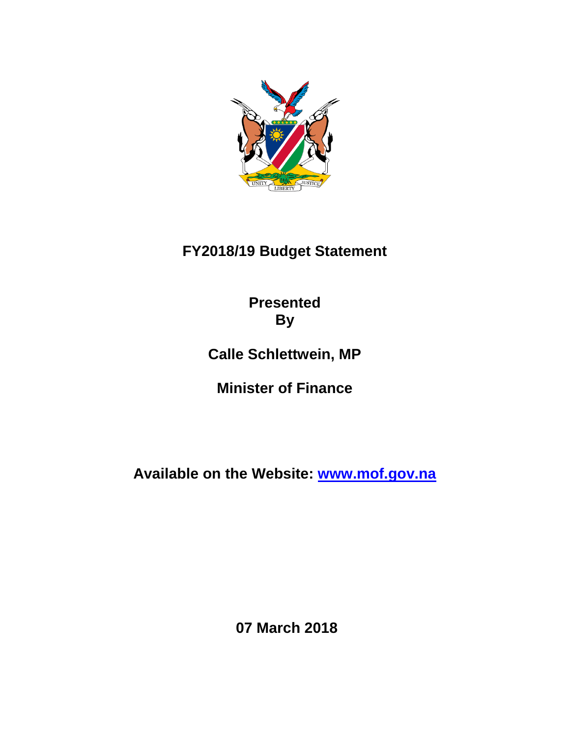

# **FY2018/19 Budget Statement**

**Presented By**

**Calle Schlettwein, MP**

**Minister of Finance**

**Available on the Website: [www.mof.gov.na](http://www.mof.gov.na/)**

**07 March 2018**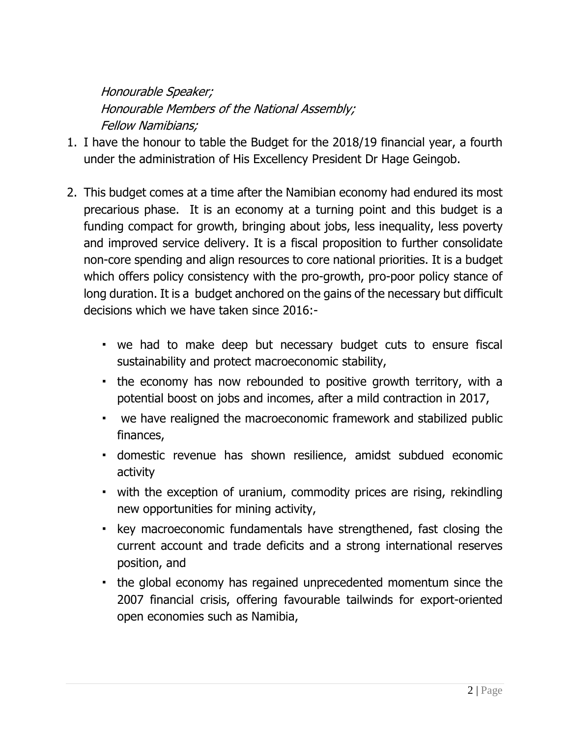Honourable Speaker; Honourable Members of the National Assembly; Fellow Namibians;

- 1. I have the honour to table the Budget for the 2018/19 financial year, a fourth under the administration of His Excellency President Dr Hage Geingob.
- 2. This budget comes at a time after the Namibian economy had endured its most precarious phase. It is an economy at a turning point and this budget is a funding compact for growth, bringing about jobs, less inequality, less poverty and improved service delivery. It is a fiscal proposition to further consolidate non-core spending and align resources to core national priorities. It is a budget which offers policy consistency with the pro-growth, pro-poor policy stance of long duration. It is a budget anchored on the gains of the necessary but difficult decisions which we have taken since 2016:-
	- we had to make deep but necessary budget cuts to ensure fiscal sustainability and protect macroeconomic stability,
	- the economy has now rebounded to positive growth territory, with a potential boost on jobs and incomes, after a mild contraction in 2017,
	- we have realigned the macroeconomic framework and stabilized public finances,
	- domestic revenue has shown resilience, amidst subdued economic activity
	- with the exception of uranium, commodity prices are rising, rekindling new opportunities for mining activity,
	- key macroeconomic fundamentals have strengthened, fast closing the current account and trade deficits and a strong international reserves position, and
	- the global economy has regained unprecedented momentum since the 2007 financial crisis, offering favourable tailwinds for export-oriented open economies such as Namibia,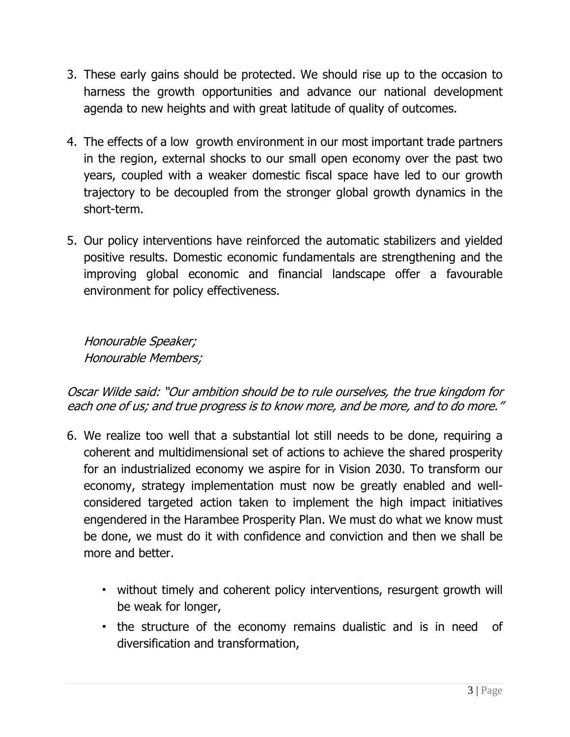- 3. These early gains should be protected. We should rise up to the occasion to harness the growth opportunities and advance our national development agenda to new heights and with great latitude of quality of outcomes.
- 4. The effects of a low growth environment in our most important trade partners in the region, external shocks to our small open economy over the past two years, coupled with a weaker domestic fiscal space have led to our growth trajectory to be decoupled from the stronger global growth dynamics in the short-term.
- 5. Our policy interventions have reinforced the automatic stabilizers and yielded positive results. Domestic economic fundamentals are strengthening and the improving global economic and financial landscape offer a favourable environment for policy effectiveness.

Honourable Speaker; Honourable Members;

Oscar Wilde said: "Our ambition should be to rule ourselves, the true kingdom for each one of us; and true progress is to know more, and be more, and to do more."

- 6. We realize too well that a substantial lot still needs to be done, requiring a coherent and multidimensional set of actions to achieve the shared prosperity for an industrialized economy we aspire for in Vision 2030. To transform our economy, strategy implementation must now be greatly enabled and wellconsidered targeted action taken to implement the high impact initiatives engendered in the Harambee Prosperity Plan. We must do what we know must be done, we must do it with confidence and conviction and then we shall be more and better.
	- without timely and coherent policy interventions, resurgent growth will be weak for longer,
	- the structure of the economy remains dualistic and is in need of diversification and transformation,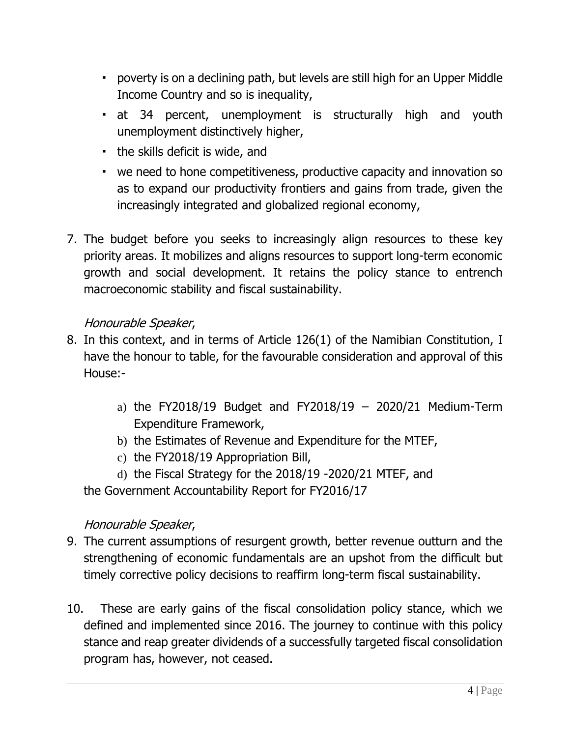- poverty is on a declining path, but levels are still high for an Upper Middle Income Country and so is inequality,
- at 34 percent, unemployment is structurally high and youth unemployment distinctively higher,
- the skills deficit is wide, and
- we need to hone competitiveness, productive capacity and innovation so as to expand our productivity frontiers and gains from trade, given the increasingly integrated and globalized regional economy,
- 7. The budget before you seeks to increasingly align resources to these key priority areas. It mobilizes and aligns resources to support long-term economic growth and social development. It retains the policy stance to entrench macroeconomic stability and fiscal sustainability.

#### Honourable Speaker,

- 8. In this context, and in terms of Article 126(1) of the Namibian Constitution, I have the honour to table, for the favourable consideration and approval of this House:
	- a) the FY2018/19 Budget and FY2018/19 2020/21 Medium-Term Expenditure Framework,
	- b) the Estimates of Revenue and Expenditure for the MTEF,
	- c) the FY2018/19 Appropriation Bill,
	- d) the Fiscal Strategy for the 2018/19 -2020/21 MTEF, and

the Government Accountability Report for FY2016/17

#### Honourable Speaker,

- 9. The current assumptions of resurgent growth, better revenue outturn and the strengthening of economic fundamentals are an upshot from the difficult but timely corrective policy decisions to reaffirm long-term fiscal sustainability.
- 10. These are early gains of the fiscal consolidation policy stance, which we defined and implemented since 2016. The journey to continue with this policy stance and reap greater dividends of a successfully targeted fiscal consolidation program has, however, not ceased.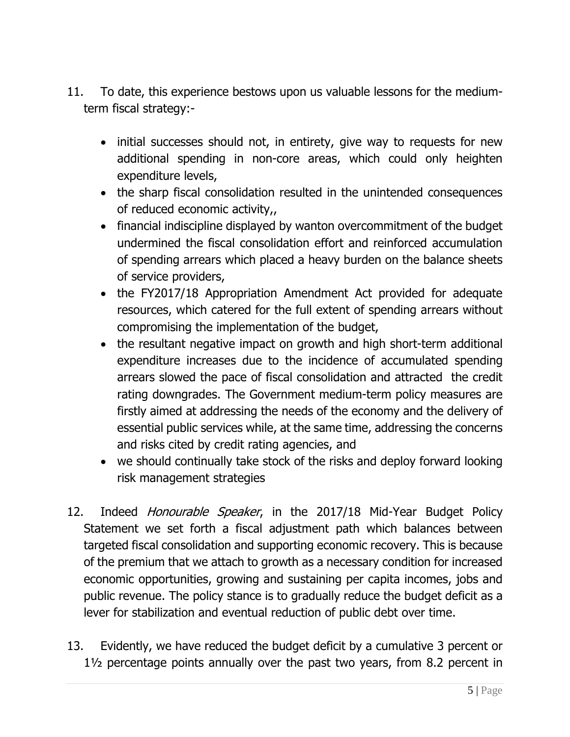- 11. To date, this experience bestows upon us valuable lessons for the mediumterm fiscal strategy:-
	- initial successes should not, in entirety, give way to requests for new additional spending in non-core areas, which could only heighten expenditure levels,
	- the sharp fiscal consolidation resulted in the unintended consequences of reduced economic activity,,
	- financial indiscipline displayed by wanton overcommitment of the budget undermined the fiscal consolidation effort and reinforced accumulation of spending arrears which placed a heavy burden on the balance sheets of service providers,
	- the FY2017/18 Appropriation Amendment Act provided for adequate resources, which catered for the full extent of spending arrears without compromising the implementation of the budget,
	- the resultant negative impact on growth and high short-term additional expenditure increases due to the incidence of accumulated spending arrears slowed the pace of fiscal consolidation and attracted the credit rating downgrades. The Government medium-term policy measures are firstly aimed at addressing the needs of the economy and the delivery of essential public services while, at the same time, addressing the concerns and risks cited by credit rating agencies, and
	- we should continually take stock of the risks and deploy forward looking risk management strategies
- 12. Indeed Honourable Speaker, in the 2017/18 Mid-Year Budget Policy Statement we set forth a fiscal adjustment path which balances between targeted fiscal consolidation and supporting economic recovery. This is because of the premium that we attach to growth as a necessary condition for increased economic opportunities, growing and sustaining per capita incomes, jobs and public revenue. The policy stance is to gradually reduce the budget deficit as a lever for stabilization and eventual reduction of public debt over time.
- 13. Evidently, we have reduced the budget deficit by a cumulative 3 percent or 1½ percentage points annually over the past two years, from 8.2 percent in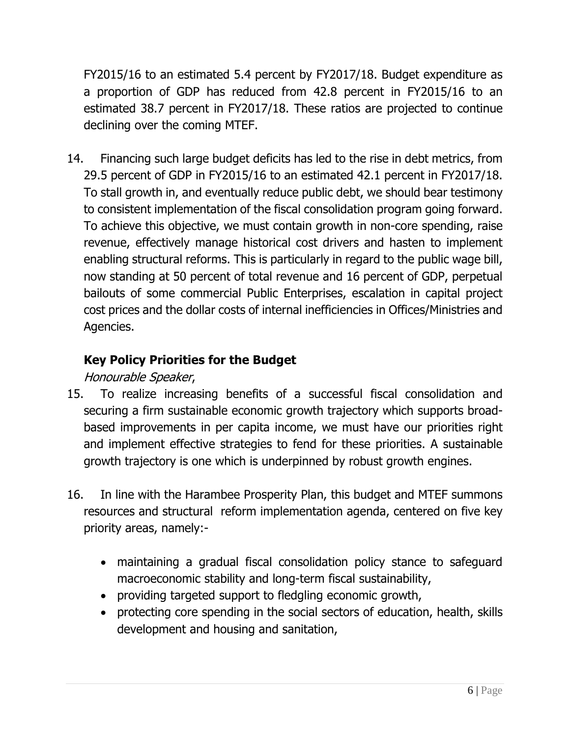FY2015/16 to an estimated 5.4 percent by FY2017/18. Budget expenditure as a proportion of GDP has reduced from 42.8 percent in FY2015/16 to an estimated 38.7 percent in FY2017/18. These ratios are projected to continue declining over the coming MTEF.

14. Financing such large budget deficits has led to the rise in debt metrics, from 29.5 percent of GDP in FY2015/16 to an estimated 42.1 percent in FY2017/18. To stall growth in, and eventually reduce public debt, we should bear testimony to consistent implementation of the fiscal consolidation program going forward. To achieve this objective, we must contain growth in non-core spending, raise revenue, effectively manage historical cost drivers and hasten to implement enabling structural reforms. This is particularly in regard to the public wage bill, now standing at 50 percent of total revenue and 16 percent of GDP, perpetual bailouts of some commercial Public Enterprises, escalation in capital project cost prices and the dollar costs of internal inefficiencies in Offices/Ministries and Agencies.

# **Key Policy Priorities for the Budget**

# Honourable Speaker,

- 15. To realize increasing benefits of a successful fiscal consolidation and securing a firm sustainable economic growth trajectory which supports broadbased improvements in per capita income, we must have our priorities right and implement effective strategies to fend for these priorities. A sustainable growth trajectory is one which is underpinned by robust growth engines.
- 16. In line with the Harambee Prosperity Plan, this budget and MTEF summons resources and structural reform implementation agenda, centered on five key priority areas, namely:
	- maintaining a gradual fiscal consolidation policy stance to safeguard macroeconomic stability and long-term fiscal sustainability,
	- providing targeted support to fledgling economic growth,
	- protecting core spending in the social sectors of education, health, skills development and housing and sanitation,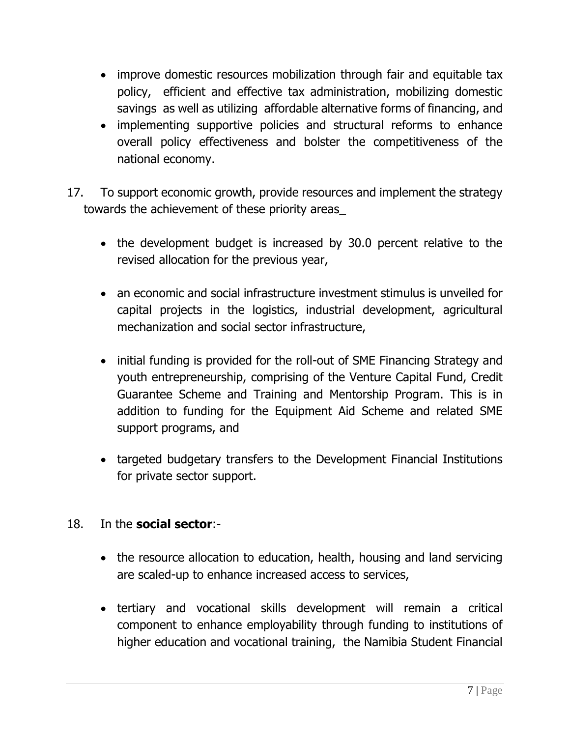- improve domestic resources mobilization through fair and equitable tax policy, efficient and effective tax administration, mobilizing domestic savings as well as utilizing affordable alternative forms of financing, and
- implementing supportive policies and structural reforms to enhance overall policy effectiveness and bolster the competitiveness of the national economy.
- 17. To support economic growth, provide resources and implement the strategy towards the achievement of these priority areas\_
	- the development budget is increased by 30.0 percent relative to the revised allocation for the previous year,
	- an economic and social infrastructure investment stimulus is unveiled for capital projects in the logistics, industrial development, agricultural mechanization and social sector infrastructure,
	- initial funding is provided for the roll-out of SME Financing Strategy and youth entrepreneurship, comprising of the Venture Capital Fund, Credit Guarantee Scheme and Training and Mentorship Program. This is in addition to funding for the Equipment Aid Scheme and related SME support programs, and
	- targeted budgetary transfers to the Development Financial Institutions for private sector support.

#### 18. In the **social sector**:-

- the resource allocation to education, health, housing and land servicing are scaled-up to enhance increased access to services,
- tertiary and vocational skills development will remain a critical component to enhance employability through funding to institutions of higher education and vocational training, the Namibia Student Financial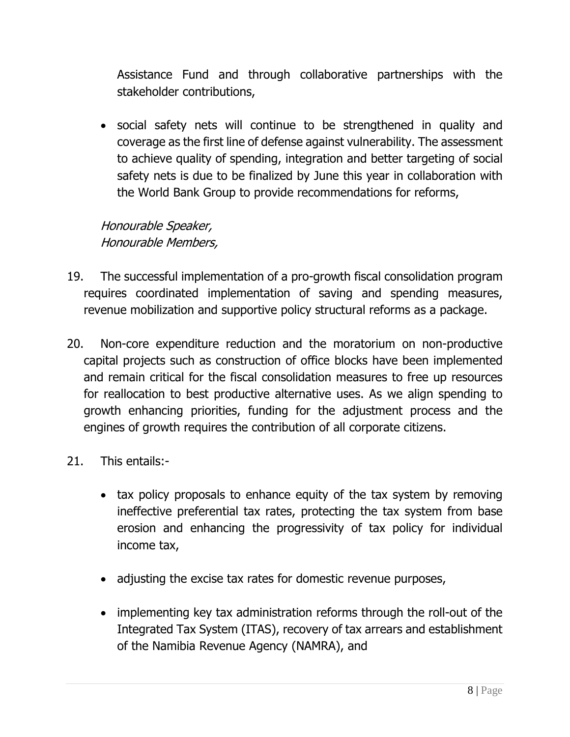Assistance Fund and through collaborative partnerships with the stakeholder contributions,

 social safety nets will continue to be strengthened in quality and coverage as the first line of defense against vulnerability. The assessment to achieve quality of spending, integration and better targeting of social safety nets is due to be finalized by June this year in collaboration with the World Bank Group to provide recommendations for reforms,

Honourable Speaker, Honourable Members,

- 19. The successful implementation of a pro-growth fiscal consolidation program requires coordinated implementation of saving and spending measures, revenue mobilization and supportive policy structural reforms as a package.
- 20. Non-core expenditure reduction and the moratorium on non-productive capital projects such as construction of office blocks have been implemented and remain critical for the fiscal consolidation measures to free up resources for reallocation to best productive alternative uses. As we align spending to growth enhancing priorities, funding for the adjustment process and the engines of growth requires the contribution of all corporate citizens.
- 21. This entails:-
	- tax policy proposals to enhance equity of the tax system by removing ineffective preferential tax rates, protecting the tax system from base erosion and enhancing the progressivity of tax policy for individual income tax,
	- adjusting the excise tax rates for domestic revenue purposes,
	- implementing key tax administration reforms through the roll-out of the Integrated Tax System (ITAS), recovery of tax arrears and establishment of the Namibia Revenue Agency (NAMRA), and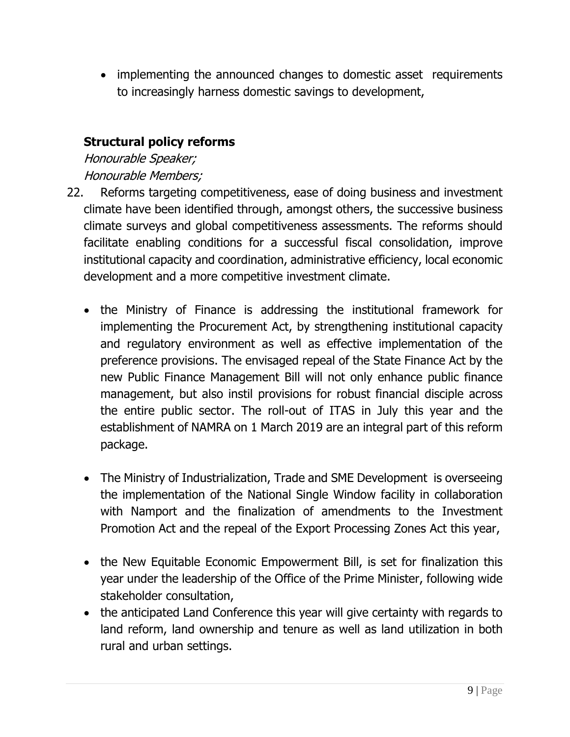implementing the announced changes to domestic asset requirements to increasingly harness domestic savings to development,

## **Structural policy reforms**

Honourable Speaker; Honourable Members;

- 22. Reforms targeting competitiveness, ease of doing business and investment climate have been identified through, amongst others, the successive business climate surveys and global competitiveness assessments. The reforms should facilitate enabling conditions for a successful fiscal consolidation, improve institutional capacity and coordination, administrative efficiency, local economic development and a more competitive investment climate.
	- the Ministry of Finance is addressing the institutional framework for implementing the Procurement Act, by strengthening institutional capacity and regulatory environment as well as effective implementation of the preference provisions. The envisaged repeal of the State Finance Act by the new Public Finance Management Bill will not only enhance public finance management, but also instil provisions for robust financial disciple across the entire public sector. The roll-out of ITAS in July this year and the establishment of NAMRA on 1 March 2019 are an integral part of this reform package.
	- The Ministry of Industrialization, Trade and SME Development is overseeing the implementation of the National Single Window facility in collaboration with Namport and the finalization of amendments to the Investment Promotion Act and the repeal of the Export Processing Zones Act this year,
	- the New Equitable Economic Empowerment Bill, is set for finalization this year under the leadership of the Office of the Prime Minister, following wide stakeholder consultation,
	- the anticipated Land Conference this year will give certainty with regards to land reform, land ownership and tenure as well as land utilization in both rural and urban settings.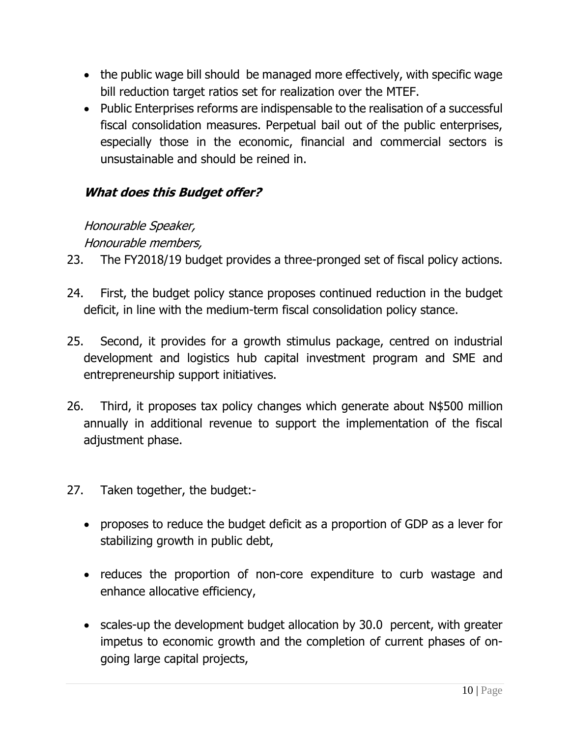- the public wage bill should be managed more effectively, with specific wage bill reduction target ratios set for realization over the MTEF.
- Public Enterprises reforms are indispensable to the realisation of a successful fiscal consolidation measures. Perpetual bail out of the public enterprises, especially those in the economic, financial and commercial sectors is unsustainable and should be reined in.

# **What does this Budget offer?**

# Honourable Speaker,

# Honourable members,

- 23. The FY2018/19 budget provides a three-pronged set of fiscal policy actions.
- 24. First, the budget policy stance proposes continued reduction in the budget deficit, in line with the medium-term fiscal consolidation policy stance.
- 25. Second, it provides for a growth stimulus package, centred on industrial development and logistics hub capital investment program and SME and entrepreneurship support initiatives.
- 26. Third, it proposes tax policy changes which generate about N\$500 million annually in additional revenue to support the implementation of the fiscal adjustment phase.
- 27. Taken together, the budget:
	- proposes to reduce the budget deficit as a proportion of GDP as a lever for stabilizing growth in public debt,
	- reduces the proportion of non-core expenditure to curb wastage and enhance allocative efficiency,
	- scales-up the development budget allocation by 30.0 percent, with greater impetus to economic growth and the completion of current phases of ongoing large capital projects,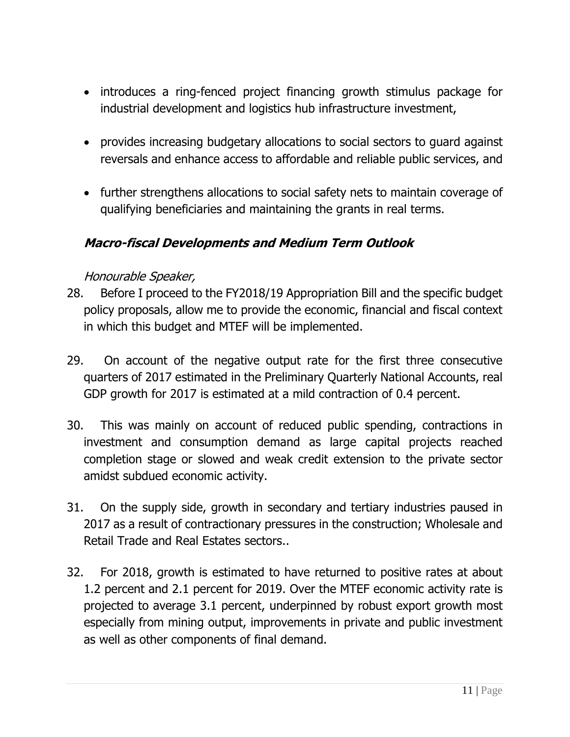- introduces a ring-fenced project financing growth stimulus package for industrial development and logistics hub infrastructure investment,
- provides increasing budgetary allocations to social sectors to guard against reversals and enhance access to affordable and reliable public services, and
- further strengthens allocations to social safety nets to maintain coverage of qualifying beneficiaries and maintaining the grants in real terms.

### **Macro-fiscal Developments and Medium Term Outlook**

#### Honourable Speaker,

- 28. Before I proceed to the FY2018/19 Appropriation Bill and the specific budget policy proposals, allow me to provide the economic, financial and fiscal context in which this budget and MTEF will be implemented.
- 29. On account of the negative output rate for the first three consecutive quarters of 2017 estimated in the Preliminary Quarterly National Accounts, real GDP growth for 2017 is estimated at a mild contraction of 0.4 percent.
- 30. This was mainly on account of reduced public spending, contractions in investment and consumption demand as large capital projects reached completion stage or slowed and weak credit extension to the private sector amidst subdued economic activity.
- 31. On the supply side, growth in secondary and tertiary industries paused in 2017 as a result of contractionary pressures in the construction; Wholesale and Retail Trade and Real Estates sectors..
- 32. For 2018, growth is estimated to have returned to positive rates at about 1.2 percent and 2.1 percent for 2019. Over the MTEF economic activity rate is projected to average 3.1 percent, underpinned by robust export growth most especially from mining output, improvements in private and public investment as well as other components of final demand.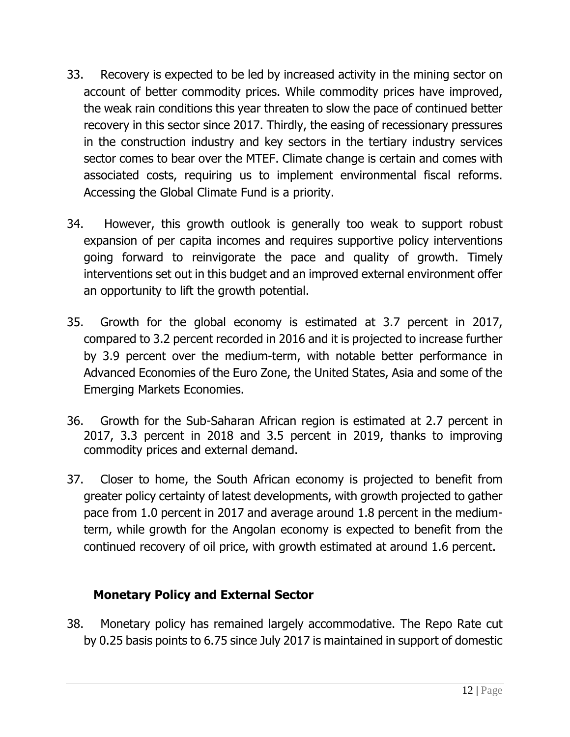- 33. Recovery is expected to be led by increased activity in the mining sector on account of better commodity prices. While commodity prices have improved, the weak rain conditions this year threaten to slow the pace of continued better recovery in this sector since 2017. Thirdly, the easing of recessionary pressures in the construction industry and key sectors in the tertiary industry services sector comes to bear over the MTEF. Climate change is certain and comes with associated costs, requiring us to implement environmental fiscal reforms. Accessing the Global Climate Fund is a priority.
- 34. However, this growth outlook is generally too weak to support robust expansion of per capita incomes and requires supportive policy interventions going forward to reinvigorate the pace and quality of growth. Timely interventions set out in this budget and an improved external environment offer an opportunity to lift the growth potential.
- 35. Growth for the global economy is estimated at 3.7 percent in 2017, compared to 3.2 percent recorded in 2016 and it is projected to increase further by 3.9 percent over the medium-term, with notable better performance in Advanced Economies of the Euro Zone, the United States, Asia and some of the Emerging Markets Economies.
- 36. Growth for the Sub-Saharan African region is estimated at 2.7 percent in 2017, 3.3 percent in 2018 and 3.5 percent in 2019, thanks to improving commodity prices and external demand.
- 37. Closer to home, the South African economy is projected to benefit from greater policy certainty of latest developments, with growth projected to gather pace from 1.0 percent in 2017 and average around 1.8 percent in the mediumterm, while growth for the Angolan economy is expected to benefit from the continued recovery of oil price, with growth estimated at around 1.6 percent.

# **Monetary Policy and External Sector**

38. Monetary policy has remained largely accommodative. The Repo Rate cut by 0.25 basis points to 6.75 since July 2017 is maintained in support of domestic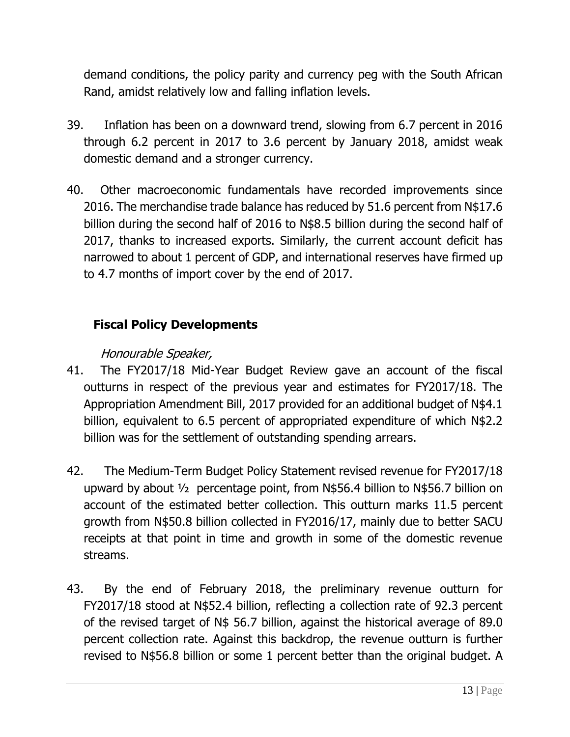demand conditions, the policy parity and currency peg with the South African Rand, amidst relatively low and falling inflation levels.

- 39. Inflation has been on a downward trend, slowing from 6.7 percent in 2016 through 6.2 percent in 2017 to 3.6 percent by January 2018, amidst weak domestic demand and a stronger currency.
- 40. Other macroeconomic fundamentals have recorded improvements since 2016. The merchandise trade balance has reduced by 51.6 percent from N\$17.6 billion during the second half of 2016 to N\$8.5 billion during the second half of 2017, thanks to increased exports. Similarly, the current account deficit has narrowed to about 1 percent of GDP, and international reserves have firmed up to 4.7 months of import cover by the end of 2017.

# **Fiscal Policy Developments**

# Honourable Speaker,

- 41. The FY2017/18 Mid-Year Budget Review gave an account of the fiscal outturns in respect of the previous year and estimates for FY2017/18. The Appropriation Amendment Bill, 2017 provided for an additional budget of N\$4.1 billion, equivalent to 6.5 percent of appropriated expenditure of which N\$2.2 billion was for the settlement of outstanding spending arrears.
- 42. The Medium-Term Budget Policy Statement revised revenue for FY2017/18 upward by about ½ percentage point, from N\$56.4 billion to N\$56.7 billion on account of the estimated better collection. This outturn marks 11.5 percent growth from N\$50.8 billion collected in FY2016/17, mainly due to better SACU receipts at that point in time and growth in some of the domestic revenue streams.
- 43. By the end of February 2018, the preliminary revenue outturn for FY2017/18 stood at N\$52.4 billion, reflecting a collection rate of 92.3 percent of the revised target of N\$ 56.7 billion, against the historical average of 89.0 percent collection rate. Against this backdrop, the revenue outturn is further revised to N\$56.8 billion or some 1 percent better than the original budget. A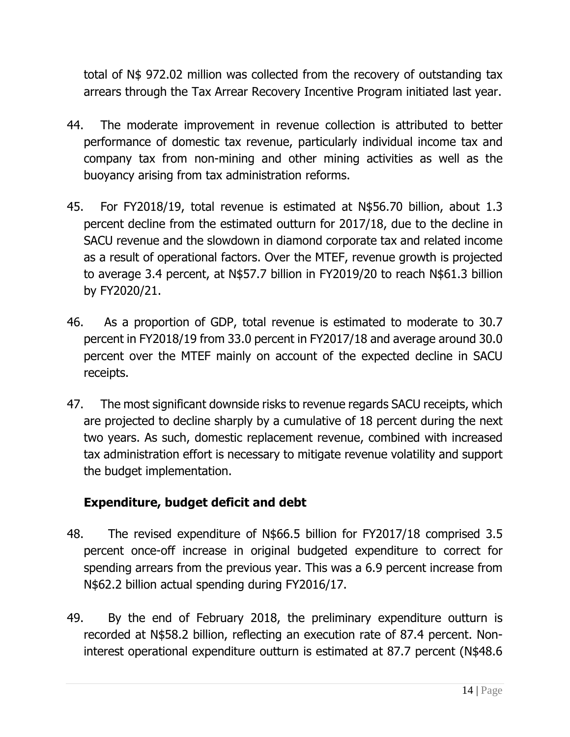total of N\$ 972.02 million was collected from the recovery of outstanding tax arrears through the Tax Arrear Recovery Incentive Program initiated last year.

- 44. The moderate improvement in revenue collection is attributed to better performance of domestic tax revenue, particularly individual income tax and company tax from non-mining and other mining activities as well as the buoyancy arising from tax administration reforms.
- 45. For FY2018/19, total revenue is estimated at N\$56.70 billion, about 1.3 percent decline from the estimated outturn for 2017/18, due to the decline in SACU revenue and the slowdown in diamond corporate tax and related income as a result of operational factors. Over the MTEF, revenue growth is projected to average 3.4 percent, at N\$57.7 billion in FY2019/20 to reach N\$61.3 billion by FY2020/21.
- 46. As a proportion of GDP, total revenue is estimated to moderate to 30.7 percent in FY2018/19 from 33.0 percent in FY2017/18 and average around 30.0 percent over the MTEF mainly on account of the expected decline in SACU receipts.
- 47. The most significant downside risks to revenue regards SACU receipts, which are projected to decline sharply by a cumulative of 18 percent during the next two years. As such, domestic replacement revenue, combined with increased tax administration effort is necessary to mitigate revenue volatility and support the budget implementation.

# **Expenditure, budget deficit and debt**

- 48. The revised expenditure of N\$66.5 billion for FY2017/18 comprised 3.5 percent once-off increase in original budgeted expenditure to correct for spending arrears from the previous year. This was a 6.9 percent increase from N\$62.2 billion actual spending during FY2016/17.
- 49. By the end of February 2018, the preliminary expenditure outturn is recorded at N\$58.2 billion, reflecting an execution rate of 87.4 percent. Noninterest operational expenditure outturn is estimated at 87.7 percent (N\$48.6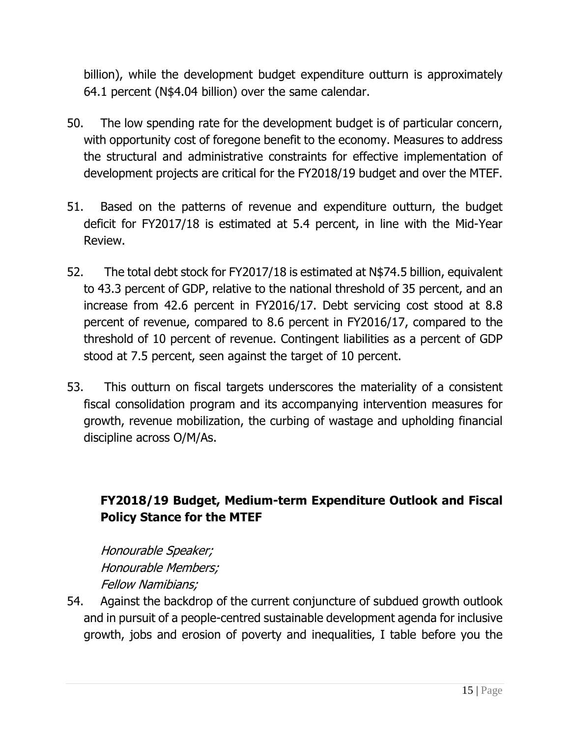billion), while the development budget expenditure outturn is approximately 64.1 percent (N\$4.04 billion) over the same calendar.

- 50. The low spending rate for the development budget is of particular concern, with opportunity cost of foregone benefit to the economy. Measures to address the structural and administrative constraints for effective implementation of development projects are critical for the FY2018/19 budget and over the MTEF.
- 51. Based on the patterns of revenue and expenditure outturn, the budget deficit for FY2017/18 is estimated at 5.4 percent, in line with the Mid-Year Review.
- 52. The total debt stock for FY2017/18 is estimated at N\$74.5 billion, equivalent to 43.3 percent of GDP, relative to the national threshold of 35 percent, and an increase from 42.6 percent in FY2016/17. Debt servicing cost stood at 8.8 percent of revenue, compared to 8.6 percent in FY2016/17, compared to the threshold of 10 percent of revenue. Contingent liabilities as a percent of GDP stood at 7.5 percent, seen against the target of 10 percent.
- 53. This outturn on fiscal targets underscores the materiality of a consistent fiscal consolidation program and its accompanying intervention measures for growth, revenue mobilization, the curbing of wastage and upholding financial discipline across O/M/As.

# **FY2018/19 Budget, Medium-term Expenditure Outlook and Fiscal Policy Stance for the MTEF**

Honourable Speaker; Honourable Members; Fellow Namibians;

54. Against the backdrop of the current conjuncture of subdued growth outlook and in pursuit of a people-centred sustainable development agenda for inclusive growth, jobs and erosion of poverty and inequalities, I table before you the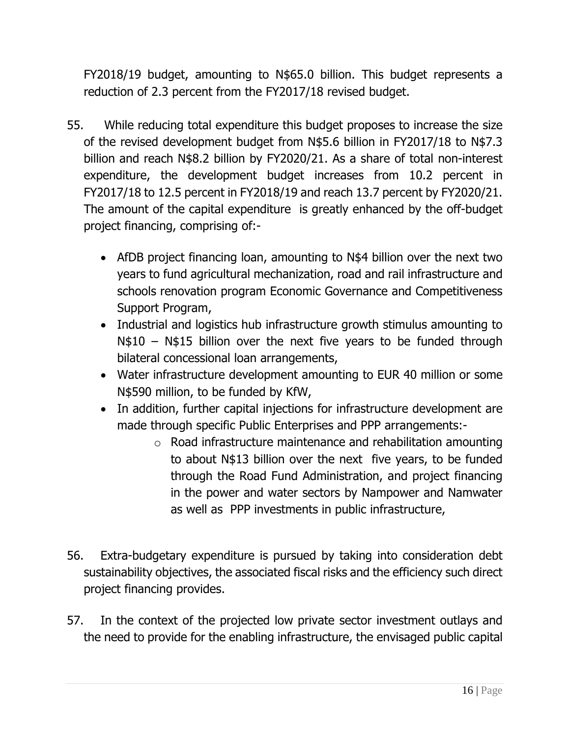FY2018/19 budget, amounting to N\$65.0 billion. This budget represents a reduction of 2.3 percent from the FY2017/18 revised budget.

- 55. While reducing total expenditure this budget proposes to increase the size of the revised development budget from N\$5.6 billion in FY2017/18 to N\$7.3 billion and reach N\$8.2 billion by FY2020/21. As a share of total non-interest expenditure, the development budget increases from 10.2 percent in FY2017/18 to 12.5 percent in FY2018/19 and reach 13.7 percent by FY2020/21. The amount of the capital expenditure is greatly enhanced by the off-budget project financing, comprising of:-
	- AfDB project financing loan, amounting to N\$4 billion over the next two years to fund agricultural mechanization, road and rail infrastructure and schools renovation program Economic Governance and Competitiveness Support Program,
	- Industrial and logistics hub infrastructure growth stimulus amounting to N\$10 – N\$15 billion over the next five years to be funded through bilateral concessional loan arrangements,
	- Water infrastructure development amounting to EUR 40 million or some N\$590 million, to be funded by KfW,
	- In addition, further capital injections for infrastructure development are made through specific Public Enterprises and PPP arrangements:
		- o Road infrastructure maintenance and rehabilitation amounting to about N\$13 billion over the next five years, to be funded through the Road Fund Administration, and project financing in the power and water sectors by Nampower and Namwater as well as PPP investments in public infrastructure,
- 56. Extra-budgetary expenditure is pursued by taking into consideration debt sustainability objectives, the associated fiscal risks and the efficiency such direct project financing provides.
- 57. In the context of the projected low private sector investment outlays and the need to provide for the enabling infrastructure, the envisaged public capital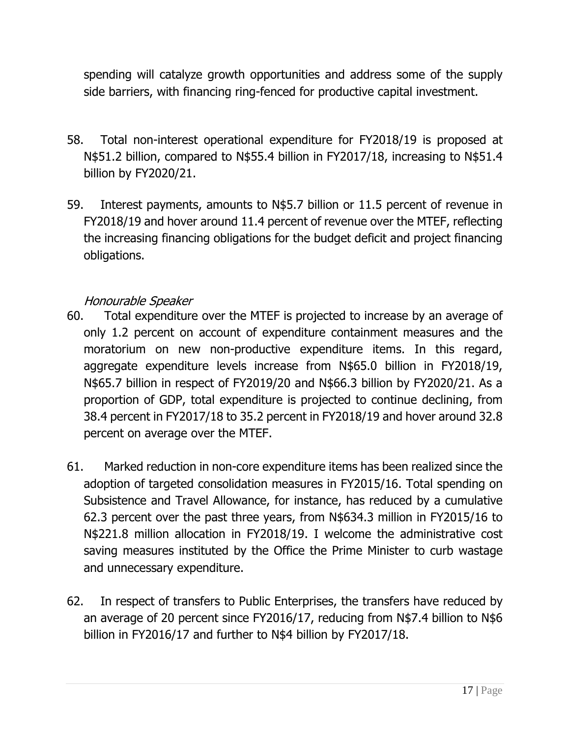spending will catalyze growth opportunities and address some of the supply side barriers, with financing ring-fenced for productive capital investment.

- 58. Total non-interest operational expenditure for FY2018/19 is proposed at N\$51.2 billion, compared to N\$55.4 billion in FY2017/18, increasing to N\$51.4 billion by FY2020/21.
- 59. Interest payments, amounts to N\$5.7 billion or 11.5 percent of revenue in FY2018/19 and hover around 11.4 percent of revenue over the MTEF, reflecting the increasing financing obligations for the budget deficit and project financing obligations.

### Honourable Speaker

- 60. Total expenditure over the MTEF is projected to increase by an average of only 1.2 percent on account of expenditure containment measures and the moratorium on new non-productive expenditure items. In this regard, aggregate expenditure levels increase from N\$65.0 billion in FY2018/19, N\$65.7 billion in respect of FY2019/20 and N\$66.3 billion by FY2020/21. As a proportion of GDP, total expenditure is projected to continue declining, from 38.4 percent in FY2017/18 to 35.2 percent in FY2018/19 and hover around 32.8 percent on average over the MTEF.
- 61. Marked reduction in non-core expenditure items has been realized since the adoption of targeted consolidation measures in FY2015/16. Total spending on Subsistence and Travel Allowance, for instance, has reduced by a cumulative 62.3 percent over the past three years, from N\$634.3 million in FY2015/16 to N\$221.8 million allocation in FY2018/19. I welcome the administrative cost saving measures instituted by the Office the Prime Minister to curb wastage and unnecessary expenditure.
- 62. In respect of transfers to Public Enterprises, the transfers have reduced by an average of 20 percent since FY2016/17, reducing from N\$7.4 billion to N\$6 billion in FY2016/17 and further to N\$4 billion by FY2017/18.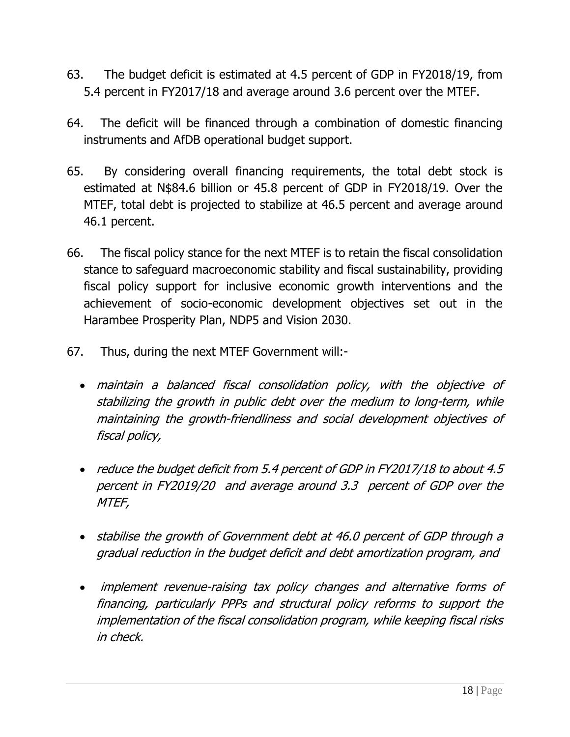- 63. The budget deficit is estimated at 4.5 percent of GDP in FY2018/19, from 5.4 percent in FY2017/18 and average around 3.6 percent over the MTEF.
- 64. The deficit will be financed through a combination of domestic financing instruments and AfDB operational budget support.
- 65. By considering overall financing requirements, the total debt stock is estimated at N\$84.6 billion or 45.8 percent of GDP in FY2018/19. Over the MTEF, total debt is projected to stabilize at 46.5 percent and average around 46.1 percent.
- 66. The fiscal policy stance for the next MTEF is to retain the fiscal consolidation stance to safeguard macroeconomic stability and fiscal sustainability, providing fiscal policy support for inclusive economic growth interventions and the achievement of socio-economic development objectives set out in the Harambee Prosperity Plan, NDP5 and Vision 2030.
- 67. Thus, during the next MTEF Government will:
	- maintain <sup>a</sup> balanced fiscal consolidation policy, with the objective of stabilizing the growth in public debt over the medium to long-term, while maintaining the growth-friendliness and social development objectives of fiscal policy,
	- reduce the budget deficit from 5.4 percent of GDP in FY2017/18 to about 4.5 percent in FY2019/20 and average around 3.3 percent of GDP over the MTEF,
	- stabilise the growth of Government debt at 46.0 percent of GDP through <sup>a</sup> gradual reduction in the budget deficit and debt amortization program, and
	- implement revenue-raising tax policy changes and alternative forms of financing, particularly PPPs and structural policy reforms to support the implementation of the fiscal consolidation program, while keeping fiscal risks in check.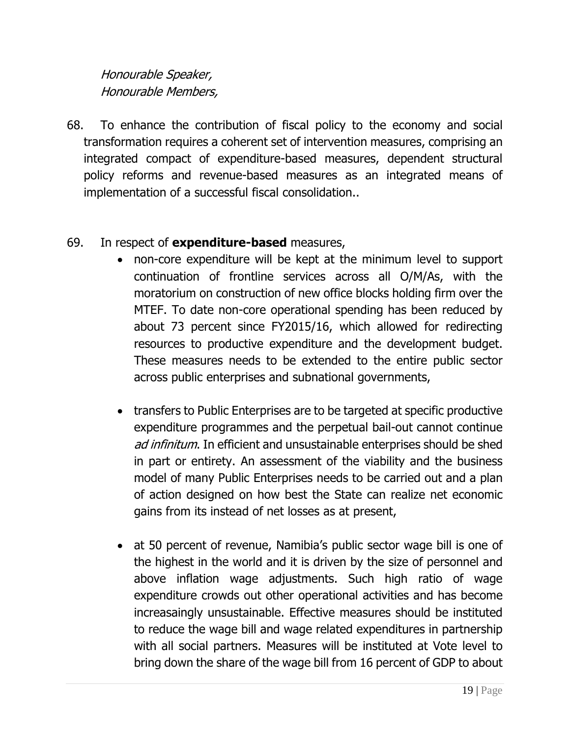# Honourable Speaker, Honourable Members,

68. To enhance the contribution of fiscal policy to the economy and social transformation requires a coherent set of intervention measures, comprising an integrated compact of expenditure-based measures, dependent structural policy reforms and revenue-based measures as an integrated means of implementation of a successful fiscal consolidation..

#### 69. In respect of **expenditure-based** measures,

- non-core expenditure will be kept at the minimum level to support continuation of frontline services across all O/M/As, with the moratorium on construction of new office blocks holding firm over the MTEF. To date non-core operational spending has been reduced by about 73 percent since FY2015/16, which allowed for redirecting resources to productive expenditure and the development budget. These measures needs to be extended to the entire public sector across public enterprises and subnational governments,
- transfers to Public Enterprises are to be targeted at specific productive expenditure programmes and the perpetual bail-out cannot continue ad infinitum. In efficient and unsustainable enterprises should be shed in part or entirety. An assessment of the viability and the business model of many Public Enterprises needs to be carried out and a plan of action designed on how best the State can realize net economic gains from its instead of net losses as at present,
- at 50 percent of revenue, Namibia's public sector wage bill is one of the highest in the world and it is driven by the size of personnel and above inflation wage adjustments. Such high ratio of wage expenditure crowds out other operational activities and has become increasaingly unsustainable. Effective measures should be instituted to reduce the wage bill and wage related expenditures in partnership with all social partners. Measures will be instituted at Vote level to bring down the share of the wage bill from 16 percent of GDP to about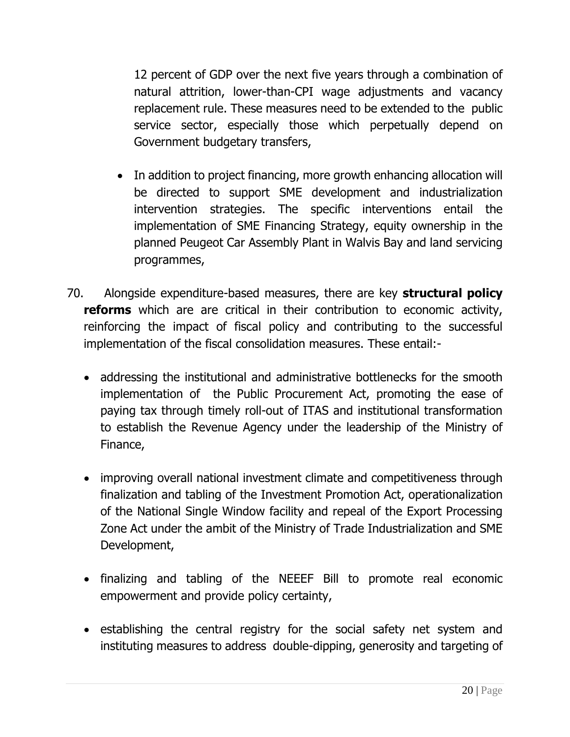12 percent of GDP over the next five years through a combination of natural attrition, lower-than-CPI wage adjustments and vacancy replacement rule. These measures need to be extended to the public service sector, especially those which perpetually depend on Government budgetary transfers,

- In addition to project financing, more growth enhancing allocation will be directed to support SME development and industrialization intervention strategies. The specific interventions entail the implementation of SME Financing Strategy, equity ownership in the planned Peugeot Car Assembly Plant in Walvis Bay and land servicing programmes,
- 70. Alongside expenditure-based measures, there are key **structural policy reforms** which are are critical in their contribution to economic activity, reinforcing the impact of fiscal policy and contributing to the successful implementation of the fiscal consolidation measures. These entail:-
	- addressing the institutional and administrative bottlenecks for the smooth implementation of the Public Procurement Act, promoting the ease of paying tax through timely roll-out of ITAS and institutional transformation to establish the Revenue Agency under the leadership of the Ministry of Finance,
	- improving overall national investment climate and competitiveness through finalization and tabling of the Investment Promotion Act, operationalization of the National Single Window facility and repeal of the Export Processing Zone Act under the ambit of the Ministry of Trade Industrialization and SME Development,
	- finalizing and tabling of the NEEEF Bill to promote real economic empowerment and provide policy certainty,
	- establishing the central registry for the social safety net system and instituting measures to address double-dipping, generosity and targeting of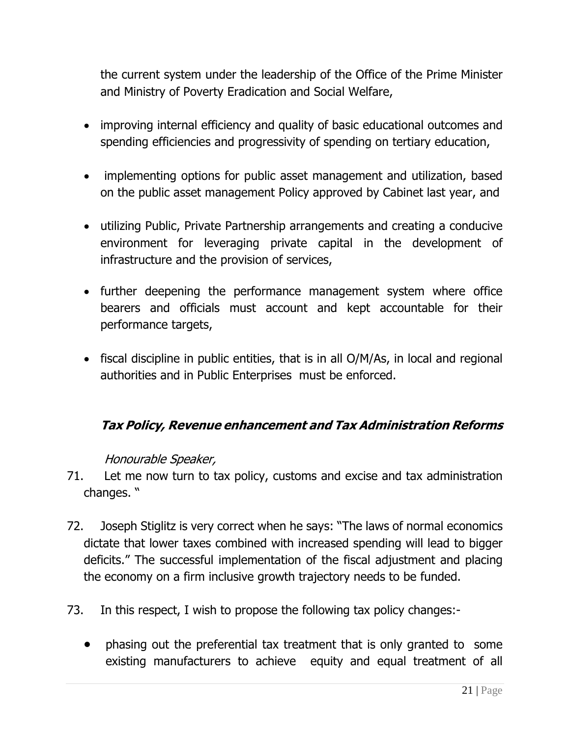the current system under the leadership of the Office of the Prime Minister and Ministry of Poverty Eradication and Social Welfare,

- improving internal efficiency and quality of basic educational outcomes and spending efficiencies and progressivity of spending on tertiary education,
- implementing options for public asset management and utilization, based on the public asset management Policy approved by Cabinet last year, and
- utilizing Public, Private Partnership arrangements and creating a conducive environment for leveraging private capital in the development of infrastructure and the provision of services,
- further deepening the performance management system where office bearers and officials must account and kept accountable for their performance targets,
- fiscal discipline in public entities, that is in all O/M/As, in local and regional authorities and in Public Enterprises must be enforced.

# **Tax Policy, Revenue enhancement and Tax Administration Reforms**

#### Honourable Speaker,

- 71. Let me now turn to tax policy, customs and excise and tax administration changes. "
- 72. Joseph Stiglitz is very correct when he says: "The laws of normal economics dictate that lower taxes combined with increased spending will lead to bigger deficits." The successful implementation of the fiscal adjustment and placing the economy on a firm inclusive growth trajectory needs to be funded.
- 73. In this respect, I wish to propose the following tax policy changes:
	- phasing out the preferential tax treatment that is only granted to some existing manufacturers to achieve equity and equal treatment of all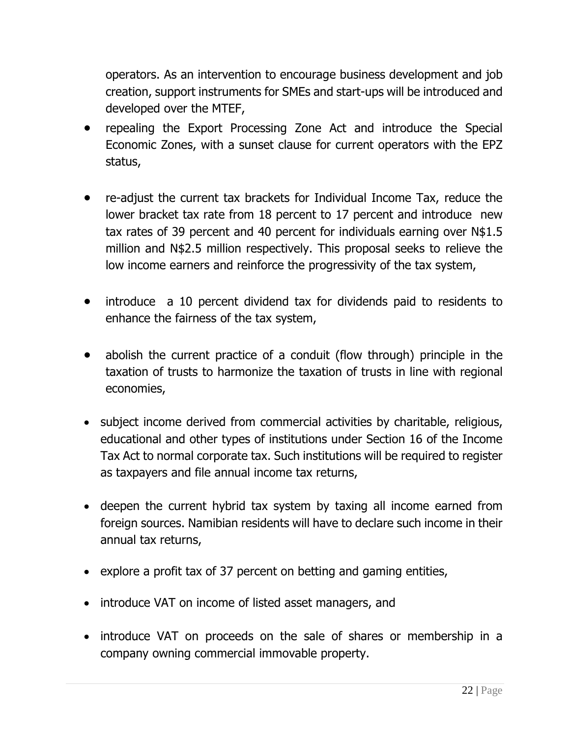operators. As an intervention to encourage business development and job creation, support instruments for SMEs and start-ups will be introduced and developed over the MTEF,

- repealing the Export Processing Zone Act and introduce the Special Economic Zones, with a sunset clause for current operators with the EPZ status,
- re-adjust the current tax brackets for Individual Income Tax, reduce the lower bracket tax rate from 18 percent to 17 percent and introduce new tax rates of 39 percent and 40 percent for individuals earning over N\$1.5 million and N\$2.5 million respectively. This proposal seeks to relieve the low income earners and reinforce the progressivity of the tax system,
- introduce a 10 percent dividend tax for dividends paid to residents to enhance the fairness of the tax system,
- abolish the current practice of a conduit (flow through) principle in the taxation of trusts to harmonize the taxation of trusts in line with regional economies,
- subject income derived from commercial activities by charitable, religious, educational and other types of institutions under Section 16 of the Income Tax Act to normal corporate tax. Such institutions will be required to register as taxpayers and file annual income tax returns,
- deepen the current hybrid tax system by taxing all income earned from foreign sources. Namibian residents will have to declare such income in their annual tax returns,
- explore a profit tax of 37 percent on betting and gaming entities,
- introduce VAT on income of listed asset managers, and
- introduce VAT on proceeds on the sale of shares or membership in a company owning commercial immovable property.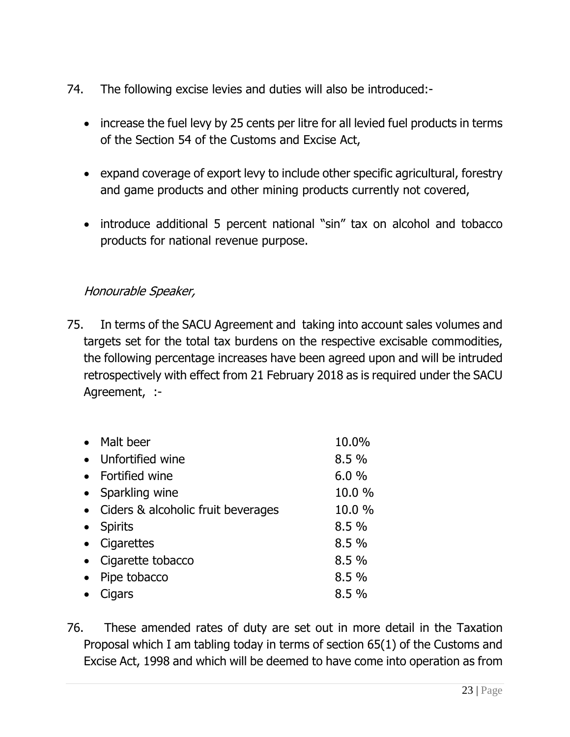- 74. The following excise levies and duties will also be introduced:-
	- increase the fuel levy by 25 cents per litre for all levied fuel products in terms of the Section 54 of the Customs and Excise Act,
	- expand coverage of export levy to include other specific agricultural, forestry and game products and other mining products currently not covered,
	- introduce additional 5 percent national "sin" tax on alcohol and tobacco products for national revenue purpose.

### Honourable Speaker,

75. In terms of the SACU Agreement and taking into account sales volumes and targets set for the total tax burdens on the respective excisable commodities, the following percentage increases have been agreed upon and will be intruded retrospectively with effect from 21 February 2018 as is required under the SACU Agreement, :-

| $\bullet$ | Malt beer                          | 10.0%  |
|-----------|------------------------------------|--------|
| $\bullet$ | Unfortified wine                   | 8.5%   |
|           | • Fortified wine                   | 6.0%   |
| $\bullet$ | Sparkling wine                     | 10.0 % |
| $\bullet$ | Ciders & alcoholic fruit beverages | 10.0 % |
| $\bullet$ | <b>Spirits</b>                     | 8.5%   |
| $\bullet$ | Cigarettes                         | 8.5%   |
| $\bullet$ | Cigarette tobacco                  | 8.5%   |
| $\bullet$ | Pipe tobacco                       | 8.5 %  |
|           | Cigars                             | 8.5%   |

76. These amended rates of duty are set out in more detail in the Taxation Proposal which I am tabling today in terms of section 65(1) of the Customs and Excise Act, 1998 and which will be deemed to have come into operation as from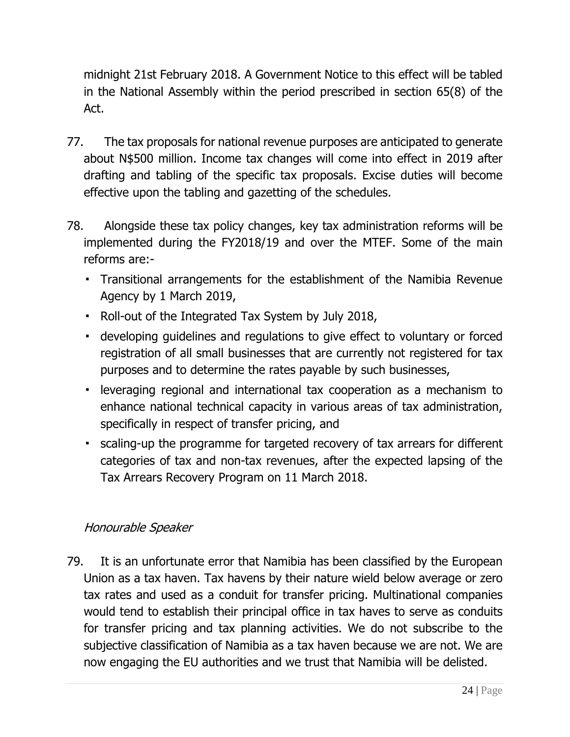midnight 21st February 2018. A Government Notice to this effect will be tabled in the National Assembly within the period prescribed in section 65(8) of the Act.

- 77. The tax proposals for national revenue purposes are anticipated to generate about N\$500 million. Income tax changes will come into effect in 2019 after drafting and tabling of the specific tax proposals. Excise duties will become effective upon the tabling and gazetting of the schedules.
- 78. Alongside these tax policy changes, key tax administration reforms will be implemented during the FY2018/19 and over the MTEF. Some of the main reforms are:-
	- Transitional arrangements for the establishment of the Namibia Revenue Agency by 1 March 2019,
	- Roll-out of the Integrated Tax System by July 2018,
	- developing guidelines and regulations to give effect to voluntary or forced registration of all small businesses that are currently not registered for tax purposes and to determine the rates payable by such businesses,
	- leveraging regional and international tax cooperation as a mechanism to enhance national technical capacity in various areas of tax administration, specifically in respect of transfer pricing, and
	- scaling-up the programme for targeted recovery of tax arrears for different categories of tax and non-tax revenues, after the expected lapsing of the Tax Arrears Recovery Program on 11 March 2018.

#### Honourable Speaker

79. It is an unfortunate error that Namibia has been classified by the European Union as a tax haven. Tax havens by their nature wield below average or zero tax rates and used as a conduit for transfer pricing. Multinational companies would tend to establish their principal office in tax haves to serve as conduits for transfer pricing and tax planning activities. We do not subscribe to the subjective classification of Namibia as a tax haven because we are not. We are now engaging the EU authorities and we trust that Namibia will be delisted.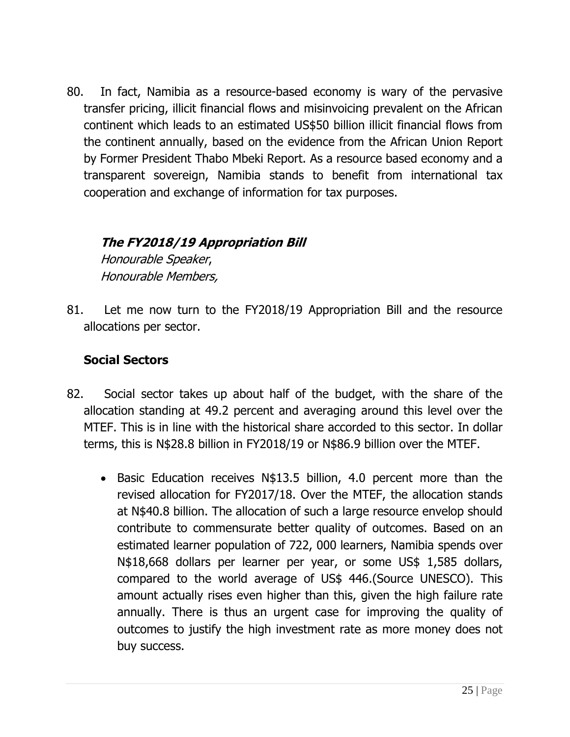80. In fact, Namibia as a resource-based economy is wary of the pervasive transfer pricing, illicit financial flows and misinvoicing prevalent on the African continent which leads to an estimated US\$50 billion illicit financial flows from the continent annually, based on the evidence from the African Union Report by Former President Thabo Mbeki Report. As a resource based economy and a transparent sovereign, Namibia stands to benefit from international tax cooperation and exchange of information for tax purposes.

# **The FY2018/19 Appropriation Bill**

Honourable Speaker, Honourable Members,

81. Let me now turn to the FY2018/19 Appropriation Bill and the resource allocations per sector.

### **Social Sectors**

- 82. Social sector takes up about half of the budget, with the share of the allocation standing at 49.2 percent and averaging around this level over the MTEF. This is in line with the historical share accorded to this sector. In dollar terms, this is N\$28.8 billion in FY2018/19 or N\$86.9 billion over the MTEF.
	- Basic Education receives N\$13.5 billion, 4.0 percent more than the revised allocation for FY2017/18. Over the MTEF, the allocation stands at N\$40.8 billion. The allocation of such a large resource envelop should contribute to commensurate better quality of outcomes. Based on an estimated learner population of 722, 000 learners, Namibia spends over N\$18,668 dollars per learner per year, or some US\$ 1,585 dollars, compared to the world average of US\$ 446.(Source UNESCO). This amount actually rises even higher than this, given the high failure rate annually. There is thus an urgent case for improving the quality of outcomes to justify the high investment rate as more money does not buy success.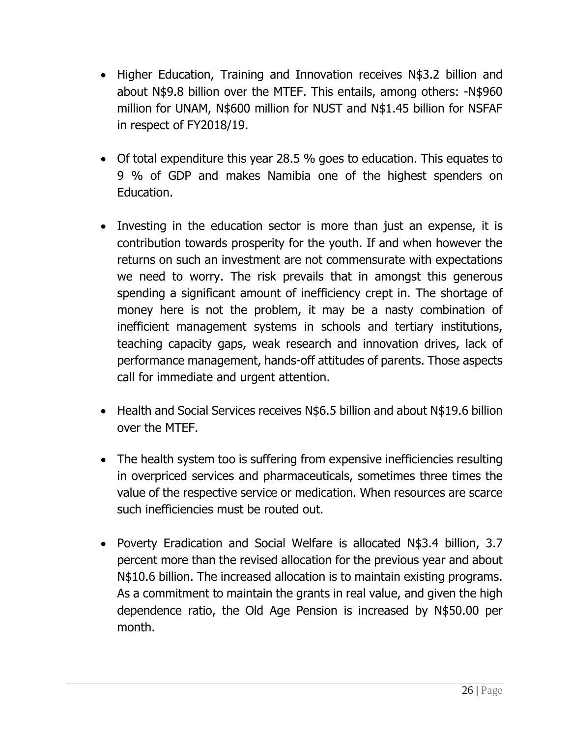- Higher Education, Training and Innovation receives N\$3.2 billion and about N\$9.8 billion over the MTEF. This entails, among others: -N\$960 million for UNAM, N\$600 million for NUST and N\$1.45 billion for NSFAF in respect of FY2018/19.
- Of total expenditure this year 28.5 % goes to education. This equates to 9 % of GDP and makes Namibia one of the highest spenders on Education.
- Investing in the education sector is more than just an expense, it is contribution towards prosperity for the youth. If and when however the returns on such an investment are not commensurate with expectations we need to worry. The risk prevails that in amongst this generous spending a significant amount of inefficiency crept in. The shortage of money here is not the problem, it may be a nasty combination of inefficient management systems in schools and tertiary institutions, teaching capacity gaps, weak research and innovation drives, lack of performance management, hands-off attitudes of parents. Those aspects call for immediate and urgent attention.
- Health and Social Services receives N\$6.5 billion and about N\$19.6 billion over the MTEF.
- The health system too is suffering from expensive inefficiencies resulting in overpriced services and pharmaceuticals, sometimes three times the value of the respective service or medication. When resources are scarce such inefficiencies must be routed out.
- Poverty Eradication and Social Welfare is allocated N\$3.4 billion, 3.7 percent more than the revised allocation for the previous year and about N\$10.6 billion. The increased allocation is to maintain existing programs. As a commitment to maintain the grants in real value, and given the high dependence ratio, the Old Age Pension is increased by N\$50.00 per month.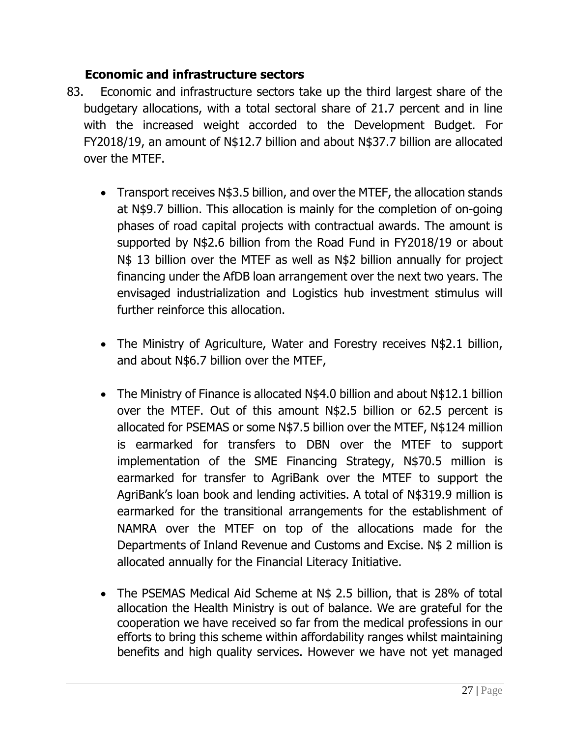### **Economic and infrastructure sectors**

- 83. Economic and infrastructure sectors take up the third largest share of the budgetary allocations, with a total sectoral share of 21.7 percent and in line with the increased weight accorded to the Development Budget. For FY2018/19, an amount of N\$12.7 billion and about N\$37.7 billion are allocated over the MTEF.
	- Transport receives N\$3.5 billion, and over the MTEF, the allocation stands at N\$9.7 billion. This allocation is mainly for the completion of on-going phases of road capital projects with contractual awards. The amount is supported by N\$2.6 billion from the Road Fund in FY2018/19 or about N\$ 13 billion over the MTEF as well as N\$2 billion annually for project financing under the AfDB loan arrangement over the next two years. The envisaged industrialization and Logistics hub investment stimulus will further reinforce this allocation.
	- The Ministry of Agriculture, Water and Forestry receives N\$2.1 billion, and about N\$6.7 billion over the MTEF,
	- The Ministry of Finance is allocated N\$4.0 billion and about N\$12.1 billion over the MTEF. Out of this amount N\$2.5 billion or 62.5 percent is allocated for PSEMAS or some N\$7.5 billion over the MTEF, N\$124 million is earmarked for transfers to DBN over the MTEF to support implementation of the SME Financing Strategy, N\$70.5 million is earmarked for transfer to AgriBank over the MTEF to support the AgriBank's loan book and lending activities. A total of N\$319.9 million is earmarked for the transitional arrangements for the establishment of NAMRA over the MTEF on top of the allocations made for the Departments of Inland Revenue and Customs and Excise. N\$ 2 million is allocated annually for the Financial Literacy Initiative.
	- The PSEMAS Medical Aid Scheme at N\$ 2.5 billion, that is 28% of total allocation the Health Ministry is out of balance. We are grateful for the cooperation we have received so far from the medical professions in our efforts to bring this scheme within affordability ranges whilst maintaining benefits and high quality services. However we have not yet managed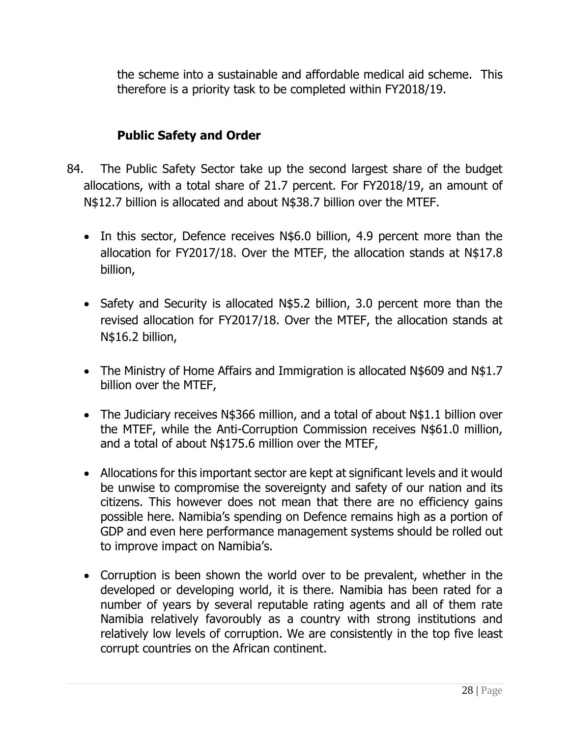the scheme into a sustainable and affordable medical aid scheme. This therefore is a priority task to be completed within FY2018/19.

## **Public Safety and Order**

- 84. The Public Safety Sector take up the second largest share of the budget allocations, with a total share of 21.7 percent. For FY2018/19, an amount of N\$12.7 billion is allocated and about N\$38.7 billion over the MTEF.
	- In this sector, Defence receives N\$6.0 billion, 4.9 percent more than the allocation for FY2017/18. Over the MTEF, the allocation stands at N\$17.8 billion,
	- Safety and Security is allocated N\$5.2 billion, 3.0 percent more than the revised allocation for FY2017/18. Over the MTEF, the allocation stands at N\$16.2 billion,
	- The Ministry of Home Affairs and Immigration is allocated N\$609 and N\$1.7 billion over the MTEF,
	- The Judiciary receives N\$366 million, and a total of about N\$1.1 billion over the MTEF, while the Anti-Corruption Commission receives N\$61.0 million, and a total of about N\$175.6 million over the MTEF,
	- Allocations for this important sector are kept at significant levels and it would be unwise to compromise the sovereignty and safety of our nation and its citizens. This however does not mean that there are no efficiency gains possible here. Namibia's spending on Defence remains high as a portion of GDP and even here performance management systems should be rolled out to improve impact on Namibia's.
	- Corruption is been shown the world over to be prevalent, whether in the developed or developing world, it is there. Namibia has been rated for a number of years by several reputable rating agents and all of them rate Namibia relatively favoroubly as a country with strong institutions and relatively low levels of corruption. We are consistently in the top five least corrupt countries on the African continent.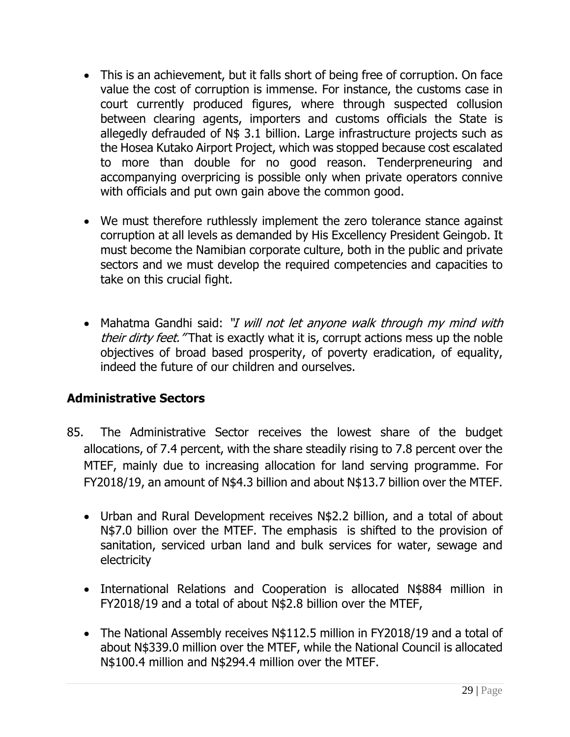- This is an achievement, but it falls short of being free of corruption. On face value the cost of corruption is immense. For instance, the customs case in court currently produced figures, where through suspected collusion between clearing agents, importers and customs officials the State is allegedly defrauded of N\$ 3.1 billion. Large infrastructure projects such as the Hosea Kutako Airport Project, which was stopped because cost escalated to more than double for no good reason. Tenderpreneuring and accompanying overpricing is possible only when private operators connive with officials and put own gain above the common good.
- We must therefore ruthlessly implement the zero tolerance stance against corruption at all levels as demanded by His Excellency President Geingob. It must become the Namibian corporate culture, both in the public and private sectors and we must develop the required competencies and capacities to take on this crucial fight.
- Mahatma Gandhi said: "I will not let anyone walk through my mind with their dirty feet. "That is exactly what it is, corrupt actions mess up the noble objectives of broad based prosperity, of poverty eradication, of equality, indeed the future of our children and ourselves.

# **Administrative Sectors**

- 85. The Administrative Sector receives the lowest share of the budget allocations, of 7.4 percent, with the share steadily rising to 7.8 percent over the MTEF, mainly due to increasing allocation for land serving programme. For FY2018/19, an amount of N\$4.3 billion and about N\$13.7 billion over the MTEF.
	- Urban and Rural Development receives N\$2.2 billion, and a total of about N\$7.0 billion over the MTEF. The emphasis is shifted to the provision of sanitation, serviced urban land and bulk services for water, sewage and electricity
	- International Relations and Cooperation is allocated N\$884 million in FY2018/19 and a total of about N\$2.8 billion over the MTEF,
	- The National Assembly receives N\$112.5 million in FY2018/19 and a total of about N\$339.0 million over the MTEF, while the National Council is allocated N\$100.4 million and N\$294.4 million over the MTEF.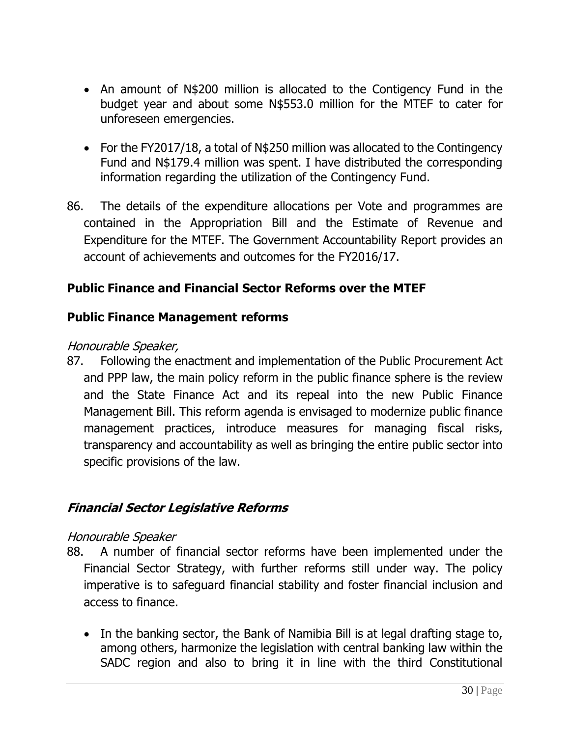- An amount of N\$200 million is allocated to the Contigency Fund in the budget year and about some N\$553.0 million for the MTEF to cater for unforeseen emergencies.
- For the FY2017/18, a total of N\$250 million was allocated to the Contingency Fund and N\$179.4 million was spent. I have distributed the corresponding information regarding the utilization of the Contingency Fund.
- 86. The details of the expenditure allocations per Vote and programmes are contained in the Appropriation Bill and the Estimate of Revenue and Expenditure for the MTEF. The Government Accountability Report provides an account of achievements and outcomes for the FY2016/17.

#### **Public Finance and Financial Sector Reforms over the MTEF**

#### **Public Finance Management reforms**

#### Honourable Speaker,

87. Following the enactment and implementation of the Public Procurement Act and PPP law, the main policy reform in the public finance sphere is the review and the State Finance Act and its repeal into the new Public Finance Management Bill. This reform agenda is envisaged to modernize public finance management practices, introduce measures for managing fiscal risks, transparency and accountability as well as bringing the entire public sector into specific provisions of the law.

#### **Financial Sector Legislative Reforms**

#### Honourable Speaker

- 88. A number of financial sector reforms have been implemented under the Financial Sector Strategy, with further reforms still under way. The policy imperative is to safeguard financial stability and foster financial inclusion and access to finance.
	- In the banking sector, the Bank of Namibia Bill is at legal drafting stage to, among others, harmonize the legislation with central banking law within the SADC region and also to bring it in line with the third Constitutional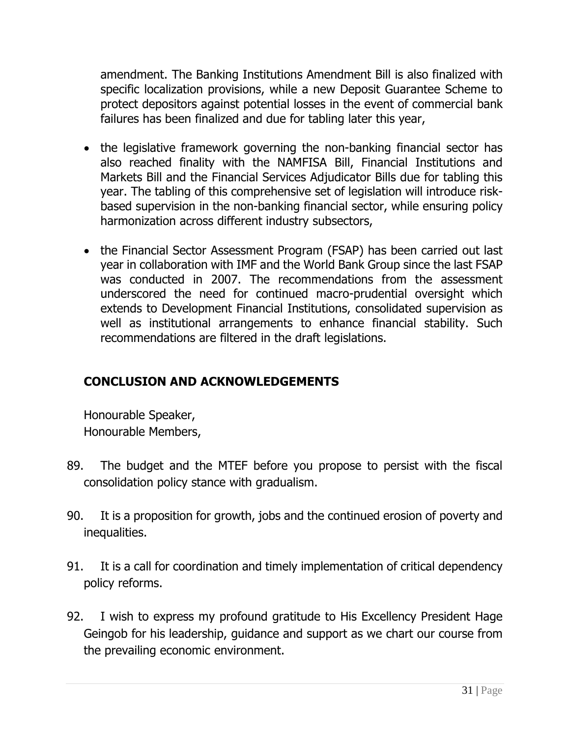amendment. The Banking Institutions Amendment Bill is also finalized with specific localization provisions, while a new Deposit Guarantee Scheme to protect depositors against potential losses in the event of commercial bank failures has been finalized and due for tabling later this year,

- the legislative framework governing the non-banking financial sector has also reached finality with the NAMFISA Bill, Financial Institutions and Markets Bill and the Financial Services Adjudicator Bills due for tabling this year. The tabling of this comprehensive set of legislation will introduce riskbased supervision in the non-banking financial sector, while ensuring policy harmonization across different industry subsectors,
- the Financial Sector Assessment Program (FSAP) has been carried out last year in collaboration with IMF and the World Bank Group since the last FSAP was conducted in 2007. The recommendations from the assessment underscored the need for continued macro-prudential oversight which extends to Development Financial Institutions, consolidated supervision as well as institutional arrangements to enhance financial stability. Such recommendations are filtered in the draft legislations.

# **CONCLUSION AND ACKNOWLEDGEMENTS**

Honourable Speaker, Honourable Members,

- 89. The budget and the MTEF before you propose to persist with the fiscal consolidation policy stance with gradualism.
- 90. It is a proposition for growth, jobs and the continued erosion of poverty and inequalities.
- 91. It is a call for coordination and timely implementation of critical dependency policy reforms.
- 92. I wish to express my profound gratitude to His Excellency President Hage Geingob for his leadership, guidance and support as we chart our course from the prevailing economic environment.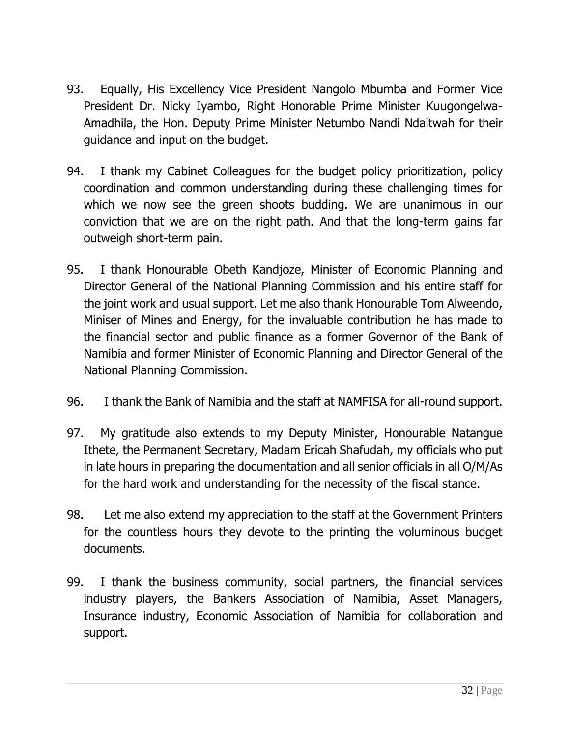- 93. Equally, His Excellency Vice President Nangolo Mbumba and Former Vice President Dr. Nicky Iyambo, Right Honorable Prime Minister Kuugongelwa-Amadhila, the Hon. Deputy Prime Minister Netumbo Nandi Ndaitwah for their guidance and input on the budget.
- 94. I thank my Cabinet Colleagues for the budget policy prioritization, policy coordination and common understanding during these challenging times for which we now see the green shoots budding. We are unanimous in our conviction that we are on the right path. And that the long-term gains far outweigh short-term pain.
- 95. I thank Honourable Obeth Kandjoze, Minister of Economic Planning and Director General of the National Planning Commission and his entire staff for the joint work and usual support. Let me also thank Honourable Tom Alweendo, Miniser of Mines and Energy, for the invaluable contribution he has made to the financial sector and public finance as a former Governor of the Bank of Namibia and former Minister of Economic Planning and Director General of the National Planning Commission.
- 96. I thank the Bank of Namibia and the staff at NAMFISA for all-round support.
- 97. My gratitude also extends to my Deputy Minister, Honourable Natangue Ithete, the Permanent Secretary, Madam Ericah Shafudah, my officials who put in late hours in preparing the documentation and all senior officials in all O/M/As for the hard work and understanding for the necessity of the fiscal stance.
- 98. Let me also extend my appreciation to the staff at the Government Printers for the countless hours they devote to the printing the voluminous budget documents.
- 99. I thank the business community, social partners, the financial services industry players, the Bankers Association of Namibia, Asset Managers, Insurance industry, Economic Association of Namibia for collaboration and support.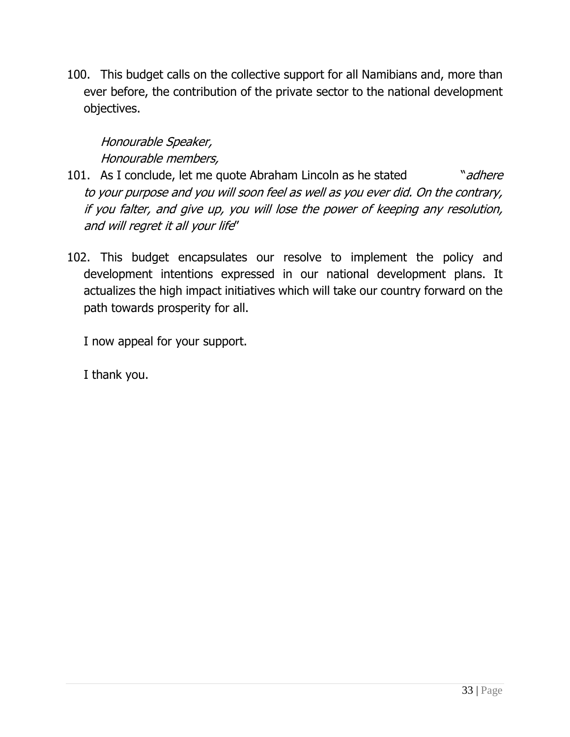100. This budget calls on the collective support for all Namibians and, more than ever before, the contribution of the private sector to the national development objectives.

# Honourable Speaker, Honourable members,

- 101. As I conclude, let me quote Abraham Lincoln as he stated "adhere" to your purpose and you will soon feel as well as you ever did. On the contrary, if you falter, and give up, you will lose the power of keeping any resolution, and will regret it all your life"
- 102. This budget encapsulates our resolve to implement the policy and development intentions expressed in our national development plans. It actualizes the high impact initiatives which will take our country forward on the path towards prosperity for all.

I now appeal for your support.

I thank you.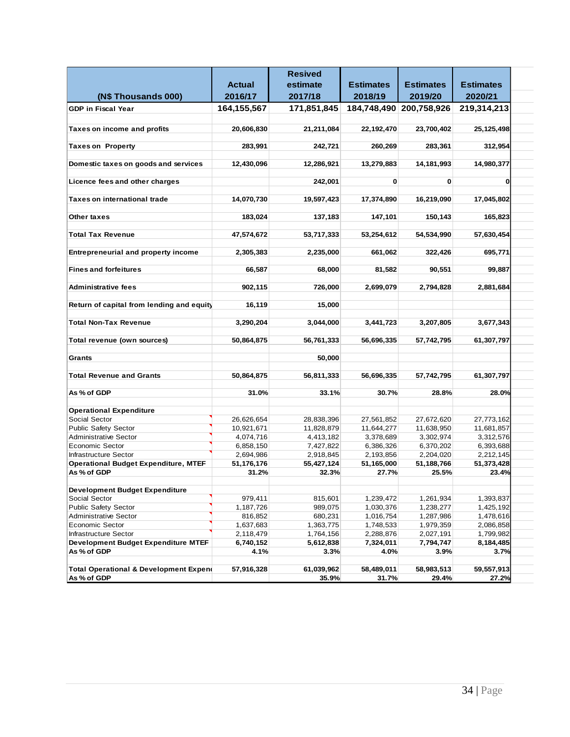|                                             |               | <b>Resived</b> |                  |                         |                  |  |
|---------------------------------------------|---------------|----------------|------------------|-------------------------|------------------|--|
|                                             | <b>Actual</b> | estimate       | <b>Estimates</b> | <b>Estimates</b>        | <b>Estimates</b> |  |
| (N\$ Thousands 000)                         | 2016/17       | 2017/18        | 2018/19          | 2019/20                 | 2020/21          |  |
| <b>GDP</b> in Fiscal Year                   | 164, 155, 567 | 171,851,845    |                  | 184,748,490 200,758,926 | 219,314,213      |  |
|                                             |               |                |                  |                         |                  |  |
| Taxes on income and profits                 | 20,606,830    | 21,211,084     | 22,192,470       | 23,700,402              | 25, 125, 498     |  |
|                                             |               |                |                  |                         |                  |  |
| <b>Taxes on Property</b>                    | 283,991       | 242,721        | 260,269          | 283,361                 | 312,954          |  |
|                                             |               |                |                  |                         |                  |  |
| Domestic taxes on goods and services        | 12,430,096    | 12,286,921     | 13,279,883       | 14,181,993              | 14,980,377       |  |
|                                             |               |                |                  |                         |                  |  |
| Licence fees and other charges              |               | 242,001        | $\mathbf{0}$     | 0                       | O                |  |
|                                             |               |                |                  |                         |                  |  |
| Taxes on international trade                | 14,070,730    | 19,597,423     | 17,374,890       | 16,219,090              | 17,045,802       |  |
|                                             |               |                |                  |                         |                  |  |
| Other taxes                                 | 183,024       | 137,183        | 147,101          | 150,143                 | 165,823          |  |
|                                             |               |                |                  |                         |                  |  |
| <b>Total Tax Revenue</b>                    | 47,574,672    | 53,717,333     | 53,254,612       | 54,534,990              | 57,630,454       |  |
|                                             |               |                |                  |                         |                  |  |
| <b>Entrepreneurial and property income</b>  | 2,305,383     | 2,235,000      | 661,062          | 322,426                 | 695,771          |  |
| <b>Fines and forfeitures</b>                |               | 68.000         |                  | 90,551                  |                  |  |
|                                             | 66,587        |                | 81,582           |                         | 99,887           |  |
| <b>Administrative fees</b>                  | 902,115       | 726,000        | 2,699,079        | 2,794,828               | 2,881,684        |  |
|                                             |               |                |                  |                         |                  |  |
| Return of capital from lending and equity   | 16,119        | 15,000         |                  |                         |                  |  |
|                                             |               |                |                  |                         |                  |  |
| <b>Total Non-Tax Revenue</b>                | 3,290,204     | 3,044,000      | 3,441,723        | 3,207,805               | 3,677,343        |  |
|                                             |               |                |                  |                         |                  |  |
| Total revenue (own sources)                 | 50,864,875    | 56,761,333     | 56,696,335       | 57,742,795              | 61,307,797       |  |
|                                             |               |                |                  |                         |                  |  |
| Grants                                      |               | 50,000         |                  |                         |                  |  |
|                                             |               |                |                  |                         |                  |  |
| <b>Total Revenue and Grants</b>             | 50,864,875    | 56,811,333     | 56,696,335       | 57,742,795              | 61,307,797       |  |
|                                             |               |                |                  |                         |                  |  |
| As % of GDP                                 | 31.0%         | 33.1%          | 30.7%            | 28.8%                   | 28.0%            |  |
|                                             |               |                |                  |                         |                  |  |
| <b>Operational Expenditure</b>              |               |                |                  |                         |                  |  |
| Social Sector                               | 26,626,654    | 28,838,396     | 27,561,852       | 27,672,620              | 27,773,162       |  |
| <b>Public Safety Sector</b>                 | 10,921,671    | 11,828,879     | 11,644,277       | 11,638,950              | 11,681,857       |  |
| <b>Administrative Sector</b>                | 4,074,716     | 4,413,182      | 3,378,689        | 3,302,974               | 3,312,576        |  |
| <b>Economic Sector</b>                      | 6,858,150     | 7,427,822      | 6,386,326        | 6,370,202               | 6,393,688        |  |
| <b>Infrastructure Sector</b>                | 2,694,986     | 2,918,845      | 2,193,856        | 2,204,020               | 2,212,145        |  |
| <b>Operational Budget Expenditure, MTEF</b> | 51,176,176    | 55,427,124     | 51,165,000       | 51,188,766              | 51,373,428       |  |
| As % of GDP                                 | 31.2%         | 32.3%          | 27.7%            | 25.5%                   | 23.4%            |  |
| <b>Development Budget Expenditure</b>       |               |                |                  |                         |                  |  |
| Social Sector                               | 979,411       | 815,601        | 1,239,472        | 1,261,934               | 1,393,837        |  |
| Public Safety Sector                        | 1,187,726     | 989,075        | 1,030,376        | 1,238,277               | 1,425,192        |  |
| <b>Administrative Sector</b>                | 816,852       | 680,231        | 1,016,754        | 1,287,986               | 1,478,616        |  |
| <b>Economic Sector</b>                      | 1,637,683     | 1,363,775      | 1,748,533        | 1,979,359               | 2,086,858        |  |
| Infrastructure Sector                       | 2,118,479     | 1,764,156      | 2,288,876        | 2,027,191               | 1,799,982        |  |
| <b>Development Budget Expenditure MTEF</b>  | 6,740,152     | 5,612,838      | 7,324,011        | 7,794,747               | 8,184,485        |  |
| As % of GDP                                 | 4.1%          | 3.3%           | 4.0%             | 3.9%                    | 3.7%             |  |
|                                             |               |                |                  |                         |                  |  |
| Total Operational & Development Expend      | 57,916,328    | 61,039,962     | 58,489,011       | 58,983,513              | 59,557,913       |  |
| As % of GDP                                 |               | 35.9%          | 31.7%            | 29.4%                   | 27.2%            |  |